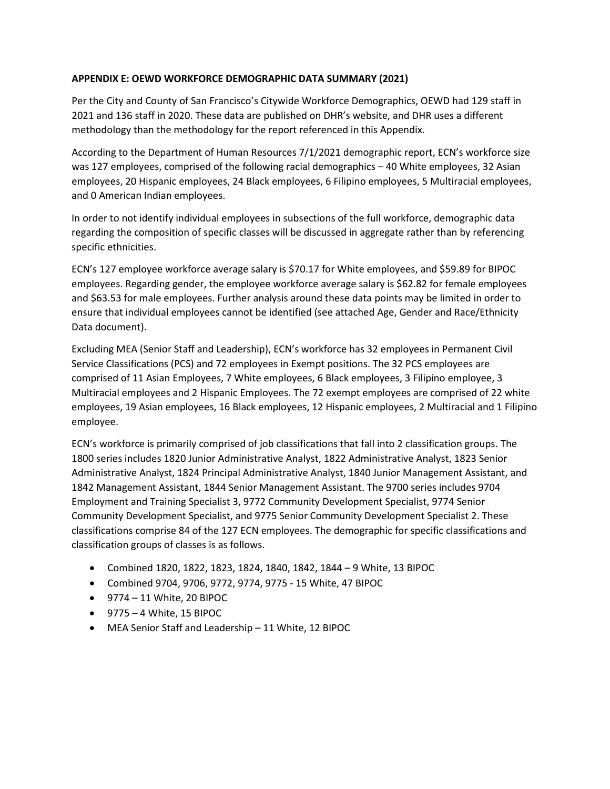## **APPENDIX E: OEWD WORKFORCE DEMOGRAPHIC DATA SUMMARY (2021)**

Per the City and County of San Francisco's Citywide Workforce Demographics, OEWD had 129 staff in 2021 and 136 staff in 2020. These data are published on DHR's website, and DHR uses a different methodology than the methodology for the report referenced in this Appendix.

According to the Department of Human Resources 7/1/2021 demographic report, ECN's workforce size was 127 employees, comprised of the following racial demographics – 40 White employees, 32 Asian employees, 20 Hispanic employees, 24 Black employees, 6 Filipino employees, 5 Multiracial employees, and 0 American Indian employees.

In order to not identify individual employees in subsections of the full workforce, demographic data regarding the composition of specific classes will be discussed in aggregate rather than by referencing specific ethnicities.

ECN's 127 employee workforce average salary is \$70.17 for White employees, and \$59.89 for BIPOC employees. Regarding gender, the employee workforce average salary is \$62.82 for female employees and \$63.53 for male employees. Further analysis around these data points may be limited in order to ensure that individual employees cannot be identified (see attached Age, Gender and Race/Ethnicity Data document).

Excluding MEA (Senior Staff and Leadership), ECN's workforce has 32 employees in Permanent Civil Service Classifications (PCS) and 72 employees in Exempt positions. The 32 PCS employees are comprised of 11 Asian Employees, 7 White employees, 6 Black employees, 3 Filipino employee, 3 Multiracial employees and 2 Hispanic Employees. The 72 exempt employees are comprised of 22 white employees, 19 Asian employees, 16 Black employees, 12 Hispanic employees, 2 Multiracial and 1 Filipino employee.

ECN's workforce is primarily comprised of job classifications that fall into 2 classification groups. The 1800 series includes 1820 Junior Administrative Analyst, 1822 Administrative Analyst, 1823 Senior Administrative Analyst, 1824 Principal Administrative Analyst, 1840 Junior Management Assistant, and 1842 Management Assistant, 1844 Senior Management Assistant. The 9700 series includes 9704 Employment and Training Specialist 3, 9772 Community Development Specialist, 9774 Senior Community Development Specialist, and 9775 Senior Community Development Specialist 2. These classifications comprise 84 of the 127 ECN employees. The demographic for specific classifications and classification groups of classes is as follows.

- Combined 1820, 1822, 1823, 1824, 1840, 1842, 1844 9 White, 13 BIPOC
- Combined 9704, 9706, 9772, 9774, 9775 15 White, 47 BIPOC
- 9774 11 White, 20 BIPOC
- $\bullet$  9775 4 White, 15 BIPOC
- MEA Senior Staff and Leadership 11 White, 12 BIPOC